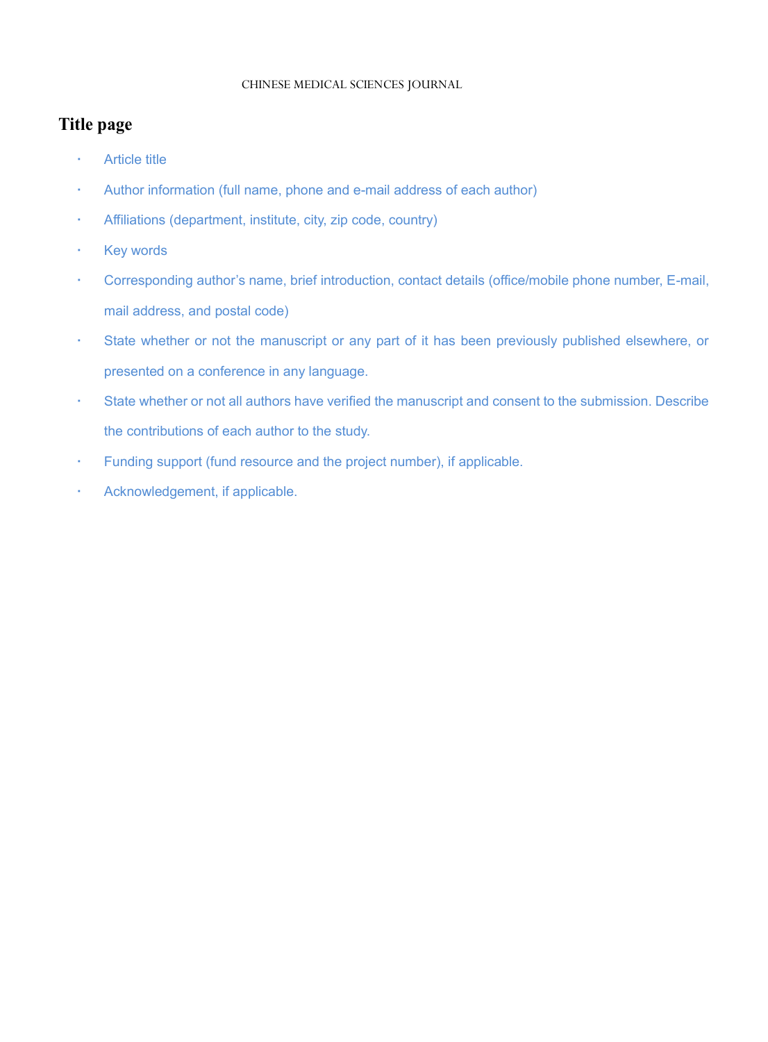# CHINESE MEDICAL SCIENCES JOURNAL

# **Title page**

- **Article title**
- Author information (full name, phone and e-mail address of each author)
- Affiliations (department, institute, city, zip code, country)
- · Key words
- Corresponding author's name, brief introduction, contact details (office/mobile phone number, E-mail, mail address, and postal code)
- State whether or not the manuscript or any part of it has been previously published elsewhere, or presented on a conference in any language.
- State whether or not all authors have verified the manuscript and consent to the submission. Describe the contributions of each author to the study.
- Funding support (fund resource and the project number), if applicable.
- Acknowledgement, if applicable.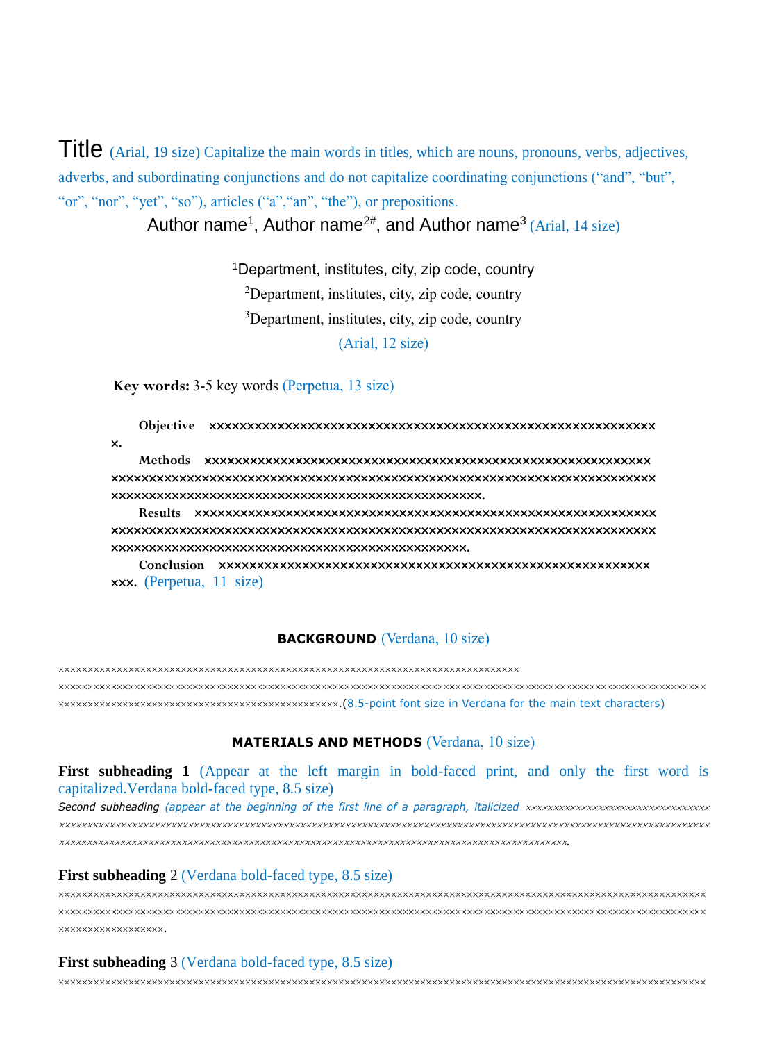Title (Arial, 19 size) Capitalize the main words in titles, which are nouns, pronouns, verbs, adjectives, adverbs, and subordinating conjunctions and do not capitalize coordinating conjunctions ("and", "but", "or", "nor", "yet", "so"), articles ("a", "an", "the"), or prepositions.

Author name<sup>1</sup>, Author name<sup>2#</sup>, and Author name<sup>3</sup> (Arial, 14 size)

Department, institutes, city, zip code, country Department, institutes, city, zip code, country Department, institutes, city, zip code, country (Arial, 12 size)

**Key words:** 3-5 key words (Perpetua, 13 size)

**Objective .**

**Methods .**

**Results .**

**Conclusion .** (Perpetua, 11 size)

### **BACKGROUND** (Verdana, 10 size)

 .(8.5-point font size in Verdana for the main text characters)

#### **MATERIALS AND METHODS** (Verdana, 10 size)

**First subheading 1** (Appear at the left margin in bold-faced print, and only the first word is capitalized.Verdana bold-faced type, 8.5 size)

*Second subheading (appear at the beginning of the first line of a paragraph, italicized .*

#### **First subheading** 2 (Verdana bold-faced type, 8.5 size)

| XXXXXXXXXXXXXXXXXX. |
|---------------------|

#### **First subheading** 3 (Verdana bold-faced type, 8.5 size)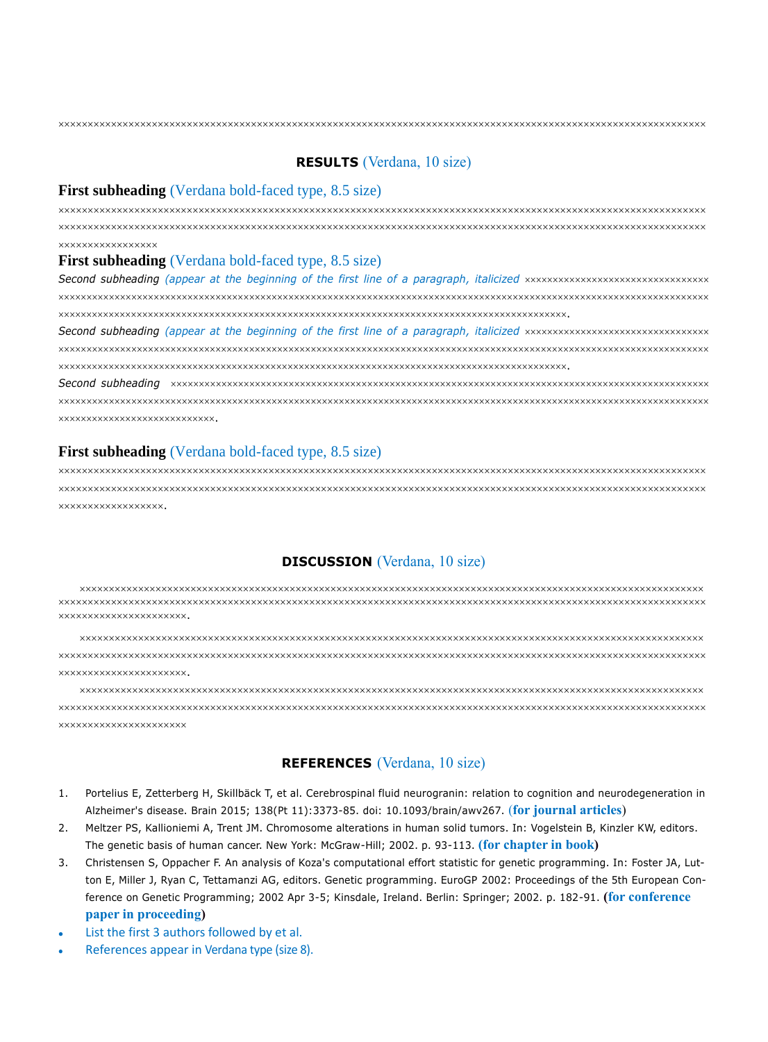### **RESULTS** (Verdana, 10 size)

#### **First subheading** (Verdana bold-faced type, 8.5 size)

 **xxxxxxxxxxxxxxxxx** 

#### **First subheading** (Verdana bold-faced type, 8.5 size)

*Second subheading (appear at the beginning of the first line of a paragraph, italicized* .

*Second subheading (appear at the beginning of the first line of a paragraph, italicized* .

*Second subheading*  .

### **First subheading** (Verdana bold-faced type, 8.5 size)

 xxxxxxxxxxxxxxxxx.

# **DISCUSSION** (Verdana, 10 size)

 xxxxxxxxxxxxxxxxxxxxxx.

 xxxxxxxxxxxxxxxxxxxxx.

 **XXXXXXXXXXXXXXXXXXXXXX** 

### **REFERENCES** (Verdana, 10 size)

- 1. [Portelius E,](https://www.ncbi.nlm.nih.gov/pubmed/?term=Portelius%20E%5BAuthor%5D&cauthor=true&cauthor_uid=26373605) [Zetterberg H,](https://www.ncbi.nlm.nih.gov/pubmed/?term=Zetterberg%20H%5BAuthor%5D&cauthor=true&cauthor_uid=26373605) [Skillbäck T,](https://www.ncbi.nlm.nih.gov/pubmed/?term=Skillb%C3%A4ck%20T%5BAuthor%5D&cauthor=true&cauthor_uid=26373605) et al. Cerebrospinal fluid neurogranin: relation to cognition and neurodegeneration in Alzheimer's disease. [Brain](https://www.ncbi.nlm.nih.gov/pubmed/26373605) 2015; 138(Pt 11):3373-85. doi: 10.1093/brain/awv267. (**for journal articles**)
- 2. Meltzer PS, Kallioniemi A, Trent JM. Chromosome alterations in human solid tumors. In: Vogelstein B, Kinzler KW, editors. The genetic basis of human cancer. New York: McGraw-Hill; 2002. p. 93-113. **(for chapter in book)**
- 3. Christensen S, Oppacher F. An analysis of Koza's computational effort statistic for genetic programming. In: Foster JA, Lutton E, Miller J, Ryan C, Tettamanzi AG, editors. Genetic programming. EuroGP 2002: Proceedings of the 5th European Conference on Genetic Programming; 2002 Apr 3-5; Kinsdale, Ireland. Berlin: Springer; 2002. p. 182-91. **(for conference paper in proceeding)**
- List the first 3 authors followed by et al.
- References appear in Verdana type (size 8).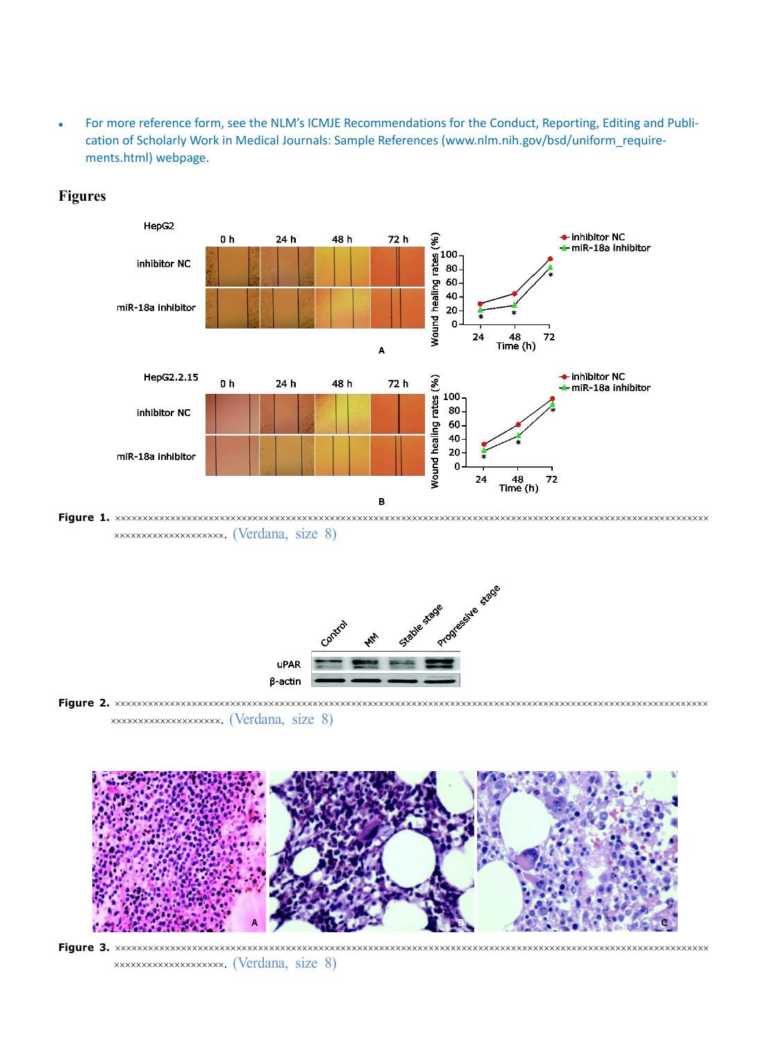For more reference form, see the NLM's ICMJE Recommendations for the Conduct, Reporting, Editing and Publication of Scholarly Work in Medical Journals: Sample References (www.nlm.nih.gov/bsd/uniform\_requirements.html) webpage.



# **Figures**

**Figure 1.**  . (Verdana, size 8)



**Figure 2.** . (Verdana, size 8)



**Figure 3.** . (Verdana, size 8)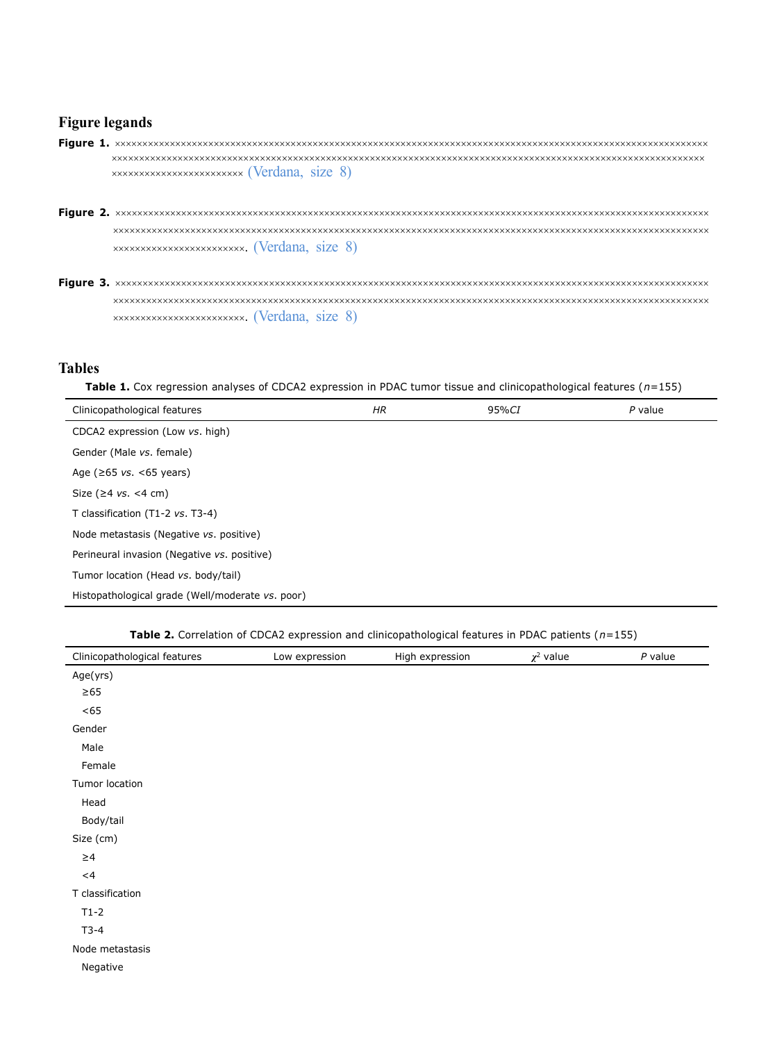### **Figure legands**

- **Figure 1.**  (Verdana, size 8)
- **Figure 2.** . (Verdana, size 8)
- **Figure 3.**  . (Verdana, size 8)

# **Tables**

**Table 1.** Cox regression analyses of CDCA2 expression in PDAC tumor tissue and clinicopathological features (*n*=155)

| Clinicopathological features                     | HR | 95%CI | $P$ value |
|--------------------------------------------------|----|-------|-----------|
| CDCA2 expression (Low vs. high)                  |    |       |           |
| Gender (Male vs. female)                         |    |       |           |
| Age ( $\geq 65$ vs. <65 years)                   |    |       |           |
| Size ( $\geq 4$ vs. <4 cm)                       |    |       |           |
| T classification (T1-2 vs. T3-4)                 |    |       |           |
| Node metastasis (Negative vs. positive)          |    |       |           |
| Perineural invasion (Negative vs. positive)      |    |       |           |
| Tumor location (Head vs. body/tail)              |    |       |           |
| Histopathological grade (Well/moderate vs. poor) |    |       |           |

**Table 2.** Correlation of CDCA2 expression and clinicopathological features in PDAC patients (*n*=155)

| Clinicopathological features | Low expression | High expression | $\chi^2$ value | $P$ value |
|------------------------------|----------------|-----------------|----------------|-----------|
| Age(yrs)                     |                |                 |                |           |
| $\geq 65$                    |                |                 |                |           |
| <65                          |                |                 |                |           |
| Gender                       |                |                 |                |           |
| Male                         |                |                 |                |           |
| Female                       |                |                 |                |           |
| Tumor location               |                |                 |                |           |
| Head                         |                |                 |                |           |
| Body/tail                    |                |                 |                |           |
| Size (cm)                    |                |                 |                |           |
| $\geq 4$                     |                |                 |                |           |
| $<$ 4                        |                |                 |                |           |
| T classification             |                |                 |                |           |
| $T1-2$                       |                |                 |                |           |
| $T3-4$                       |                |                 |                |           |
| Node metastasis              |                |                 |                |           |
| Negative                     |                |                 |                |           |